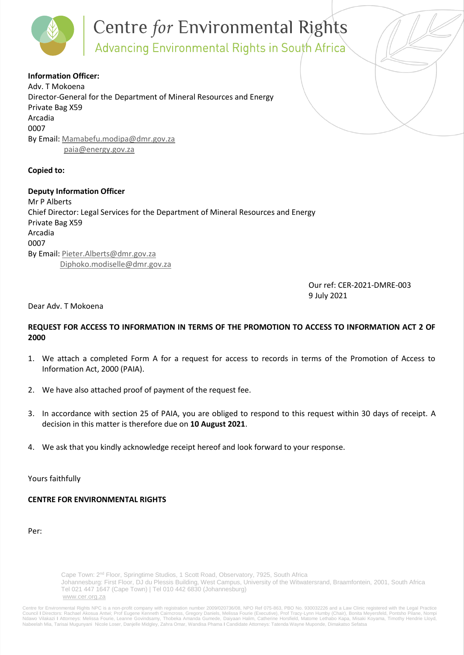# **Centre for Environmental Rights**<br>Advancing Environmental Rights in South Africa

**Information Officer:**  Adv. T Mokoena Director-General for the Department of Mineral Resources and Energy Private Bag X59 Arcadia 0007 By Email: [Mamabefu.modipa@dmr.gov.za](mailto:Mamabefu.modipa@dmr.gov.za) [paia@energy.gov.za](mailto:paia@energy.gov.za)

# **Copied to:**

**Deputy Information Officer**  Mr P Alberts Chief Director: Legal Services for the Department of Mineral Resources and Energy Private Bag X59 Arcadia 0007 By Email: [Pieter.Alberts@dmr.gov.za](mailto:Pieter.Alberts@dmr.gov.za) [Diphoko.modiselle@dmr.gov.za](mailto:Diphoko.modiselle@dmr.gov.za)

> Our ref: CER-2021-DMRE-003 9 July 2021

# Dear Adv. T Mokoena

# **REQUEST FOR ACCESS TO INFORMATION IN TERMS OF THE PROMOTION TO ACCESS TO INFORMATION ACT 2 OF 2000**

- 1. We attach a completed Form A for a request for access to records in terms of the Promotion of Access to Information Act, 2000 (PAIA).
- 2. We have also attached proof of payment of the request fee.
- 3. In accordance with section 25 of PAIA, you are obliged to respond to this request within 30 days of receipt. A decision in this matter is therefore due on **10 August 2021**.
- We ask that you kindly acknowledge receipt hereof and look forward to your response.

Yours faithfully

# **CENTRE FOR ENVIRONMENTAL RIGHTS**

Per:

Cape Town: 2<sup>nd</sup> Floor, Springtime Studios, 1 Scott Road, Observatory, 7925, South Africa Johannesburg: First Floor, DJ du Plessis Building, West Campus, University of the Witwatersrand, Braamfontein, 2001, South Africa Tel 021 447 1647 (Cape Town) | Tel 010 442 6830 (Johannesburg) [www.cer.org.za](http://www.cer.org.za/)

Centre for Environmental Rights NPC is a non-profit company with registration number 2009/020736/08, NPO Ref 075-863, PBO No. 930032226 and a Law Clinic registered with the Legal Practice<br>Council I Directors: Rachael Akosu Nabeelah Mia, Tarisai Mugunyani Nicole Loser, Danjelle Midgley, Zahra Omar, Wandisa Phama **I** Candidate Attorneys: Tatenda Wayne Muponde, Dimakatso Sefatsa